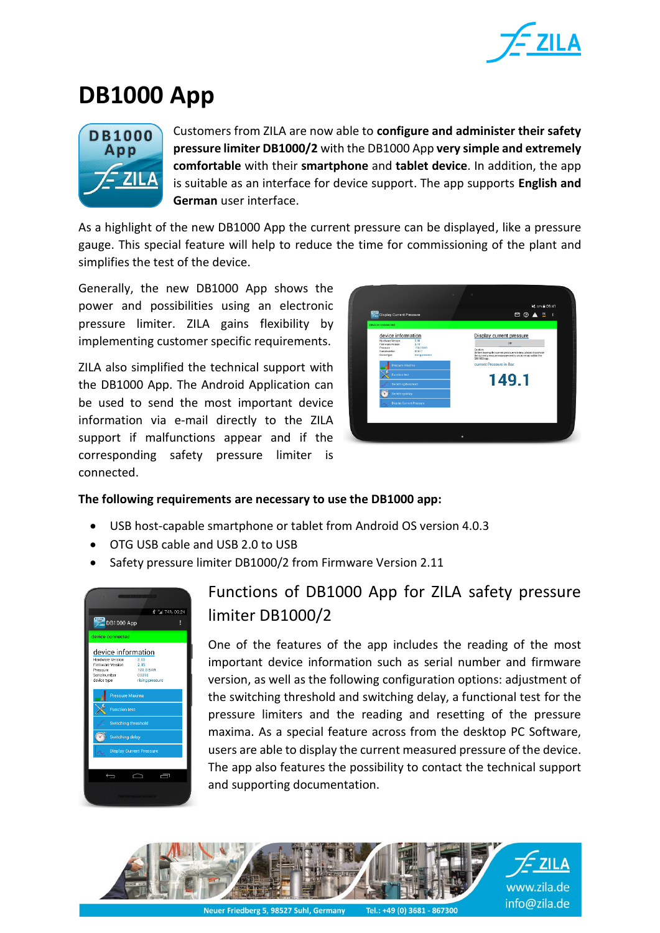

## **DB1000 App**



Customers from ZILA are now able to **configure and administer their safety pressure limiter DB1000/2** with the DB1000 App **very simple and extremely comfortable** with their **smartphone** and **tablet device**. In addition, the app is suitable as an interface for device support. The app supports **English and German** user interface.

As a highlight of the new DB1000 App the current pressure can be displayed, like a pressure gauge. This special feature will help to reduce the time for commissioning of the plant and simplifies the test of the device.

Generally, the new DB1000 App shows the power and possibilities using an electronic pressure limiter. ZILA gains flexibility by implementing customer specific requirements.

ZILA also simplified the technical support with the DB1000 App. The Android Application can be used to send the most important device information via e-mail directly to the ZILA support if malfunctions appear and if the corresponding safety pressure limiter is connected.



## **The following requirements are necessary to use the DB1000 app:**

- USB host-capable smartphone or tablet from Android OS version 4.0.3
- OTG USB cable and USB 2.0 to USB
- Safety pressure limiter DB1000/2 from Firmware Version 2.11



## Functions of DB1000 App for ZILA safety pressure limiter DB1000/2

One of the features of the app includes the reading of the most important device information such as serial number and firmware version, as well as the following configuration options: adjustment of the switching threshold and switching delay, a functional test for the pressure limiters and the reading and resetting of the pressure maxima. As a special feature across from the desktop PC Software, users are able to display the current measured pressure of the device. The app also features the possibility to contact the technical support and supporting documentation.